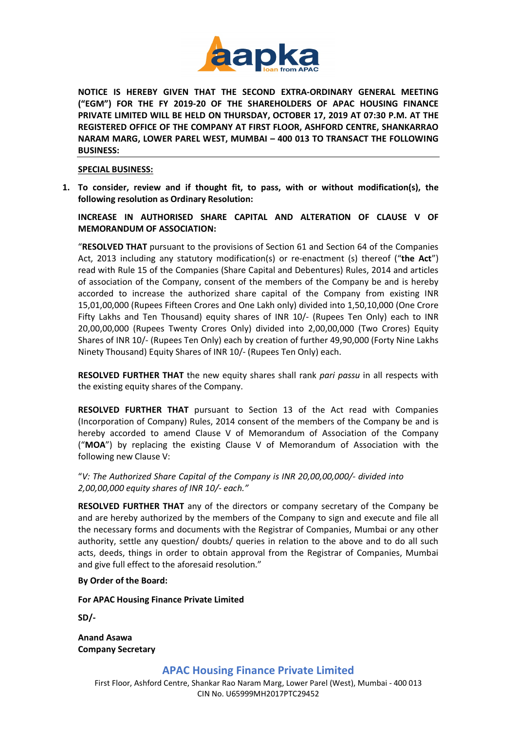

**NOTICE IS HEREBY GIVEN THAT THE SECOND EXTRA-ORDINARY GENERAL MEETING ("EGM") FOR THE FY 2019-20 OF THE SHAREHOLDERS OF APAC HOUSING FINANCE PRIVATE LIMITED WILL BE HELD ON THURSDAY, OCTOBER 17, 2019 AT 07:30 P.M. AT THE REGISTERED OFFICE OF THE COMPANY AT FIRST FLOOR, ASHFORD CENTRE, SHANKARRAO NARAM MARG, LOWER PAREL WEST, MUMBAI – 400 013 TO TRANSACT THE FOLLOWING BUSINESS:**

### **SPECIAL BUSINESS:**

**1. To consider, review and if thought fit, to pass, with or without modification(s), the following resolution as Ordinary Resolution:**

# **INCREASE IN AUTHORISED SHARE CAPITAL AND ALTERATION OF CLAUSE V OF MEMORANDUM OF ASSOCIATION:**

"**RESOLVED THAT** pursuant to the provisions of Section 61 and Section 64 of the Companies Act, 2013 including any statutory modification(s) or re-enactment (s) thereof ("**the Act**") read with Rule 15 of the Companies (Share Capital and Debentures) Rules, 2014 and articles of association of the Company, consent of the members of the Company be and is hereby accorded to increase the authorized share capital of the Company from existing INR 15,01,00,000 (Rupees Fifteen Crores and One Lakh only) divided into 1,50,10,000 (One Crore Fifty Lakhs and Ten Thousand) equity shares of INR 10/- (Rupees Ten Only) each to INR 20,00,00,000 (Rupees Twenty Crores Only) divided into 2,00,00,000 (Two Crores) Equity Shares of INR 10/- (Rupees Ten Only) each by creation of further 49,90,000 (Forty Nine Lakhs Ninety Thousand) Equity Shares of INR 10/- (Rupees Ten Only) each.

**RESOLVED FURTHER THAT** the new equity shares shall rank *pari passu* in all respects with the existing equity shares of the Company.

**RESOLVED FURTHER THAT** pursuant to Section 13 of the Act read with Companies (Incorporation of Company) Rules, 2014 consent of the members of the Company be and is hereby accorded to amend Clause V of Memorandum of Association of the Company ("**MOA**") by replacing the existing Clause V of Memorandum of Association with the following new Clause V:

"*V: The Authorized Share Capital of the Company is INR 20,00,00,000/- divided into 2,00,00,000 equity shares of INR 10/- each."*

**RESOLVED FURTHER THAT** any of the directors or company secretary of the Company be and are hereby authorized by the members of the Company to sign and execute and file all the necessary forms and documents with the Registrar of Companies, Mumbai or any other authority, settle any question/ doubts/ queries in relation to the above and to do all such acts, deeds, things in order to obtain approval from the Registrar of Companies, Mumbai and give full effect to the aforesaid resolution."

### **By Order of the Board:**

**For APAC Housing Finance Private Limited**

**SD/-**

**Anand Asawa Company Secretary**

**APAC Housing Finance Private Limited**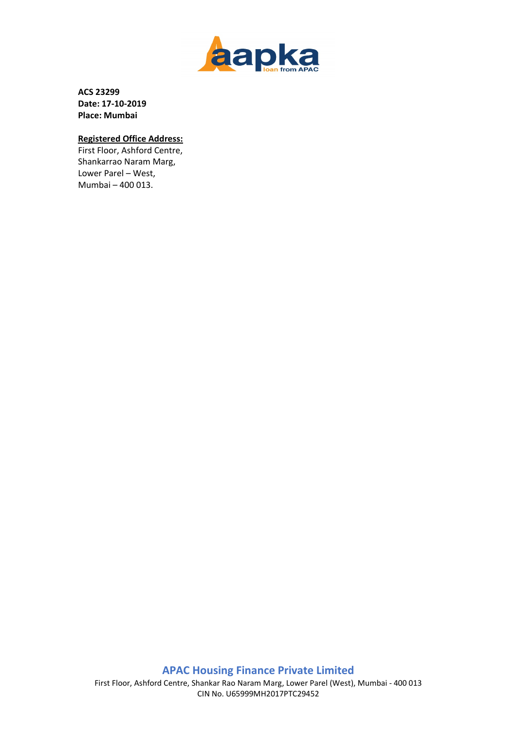

**ACS 23299 Date: 17-10-2019 Place: Mumbai**

# **Registered Office Address:**

First Floor, Ashford Centre, Shankarrao Naram Marg, Lower Parel – West, Mumbai – 400 013.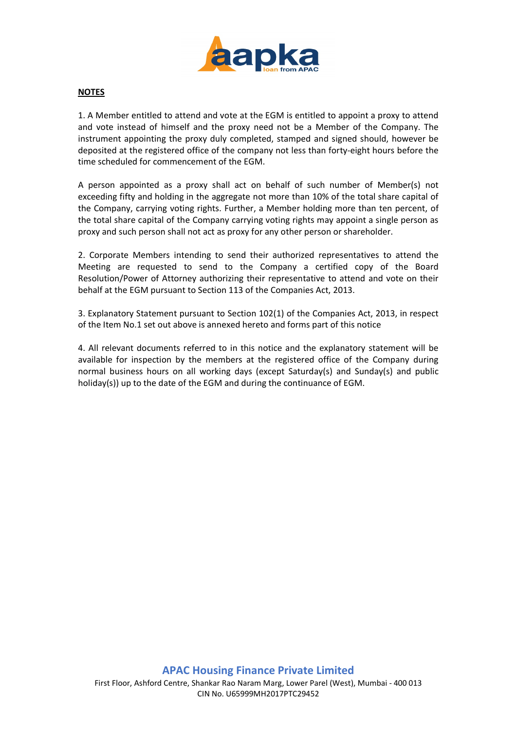

### **NOTES**

1. A Member entitled to attend and vote at the EGM is entitled to appoint a proxy to attend and vote instead of himself and the proxy need not be a Member of the Company. The instrument appointing the proxy duly completed, stamped and signed should, however be deposited at the registered office of the company not less than forty-eight hours before the time scheduled for commencement of the EGM.

A person appointed as a proxy shall act on behalf of such number of Member(s) not exceeding fifty and holding in the aggregate not more than 10% of the total share capital of the Company, carrying voting rights. Further, a Member holding more than ten percent, of the total share capital of the Company carrying voting rights may appoint a single person as proxy and such person shall not act as proxy for any other person or shareholder.

2. Corporate Members intending to send their authorized representatives to attend the Meeting are requested to send to the Company a certified copy of the Board Resolution/Power of Attorney authorizing their representative to attend and vote on their behalf at the EGM pursuant to Section 113 of the Companies Act, 2013.

3. Explanatory Statement pursuant to Section 102(1) of the Companies Act, 2013, in respect of the Item No.1 set out above is annexed hereto and forms part of this notice

4. All relevant documents referred to in this notice and the explanatory statement will be available for inspection by the members at the registered office of the Company during normal business hours on all working days (except Saturday(s) and Sunday(s) and public holiday(s)) up to the date of the EGM and during the continuance of EGM.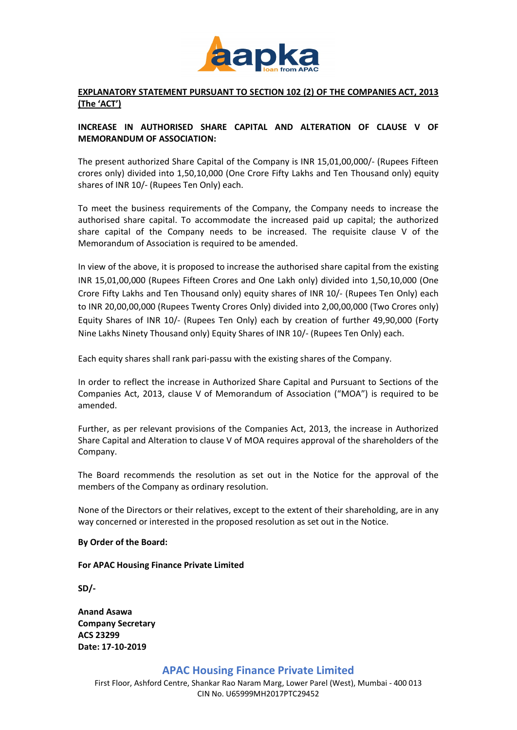

# **EXPLANATORY STATEMENT PURSUANT TO SECTION 102 (2) OF THE COMPANIES ACT, 2013 (The 'ACT')**

## **INCREASE IN AUTHORISED SHARE CAPITAL AND ALTERATION OF CLAUSE V OF MEMORANDUM OF ASSOCIATION:**

The present authorized Share Capital of the Company is INR 15,01,00,000/- (Rupees Fifteen crores only) divided into 1,50,10,000 (One Crore Fifty Lakhs and Ten Thousand only) equity shares of INR 10/- (Rupees Ten Only) each.

To meet the business requirements of the Company, the Company needs to increase the authorised share capital. To accommodate the increased paid up capital; the authorized share capital of the Company needs to be increased. The requisite clause V of the Memorandum of Association is required to be amended.

In view of the above, it is proposed to increase the authorised share capital from the existing INR 15,01,00,000 (Rupees Fifteen Crores and One Lakh only) divided into 1,50,10,000 (One Crore Fifty Lakhs and Ten Thousand only) equity shares of INR 10/- (Rupees Ten Only) each to INR 20,00,00,000 (Rupees Twenty Crores Only) divided into 2,00,00,000 (Two Crores only) Equity Shares of INR 10/- (Rupees Ten Only) each by creation of further 49,90,000 (Forty Nine Lakhs Ninety Thousand only) Equity Shares of INR 10/- (Rupees Ten Only) each.

Each equity shares shall rank pari-passu with the existing shares of the Company.

In order to reflect the increase in Authorized Share Capital and Pursuant to Sections of the Companies Act, 2013, clause V of Memorandum of Association ("MOA") is required to be amended.

Further, as per relevant provisions of the Companies Act, 2013, the increase in Authorized Share Capital and Alteration to clause V of MOA requires approval of the shareholders of the Company.

The Board recommends the resolution as set out in the Notice for the approval of the members of the Company as ordinary resolution.

None of the Directors or their relatives, except to the extent of their shareholding, are in any way concerned or interested in the proposed resolution as set out in the Notice.

### **By Order of the Board:**

**For APAC Housing Finance Private Limited**

**SD/-**

**Anand Asawa Company Secretary ACS 23299 Date: 17-10-2019**

### **APAC Housing Finance Private Limited**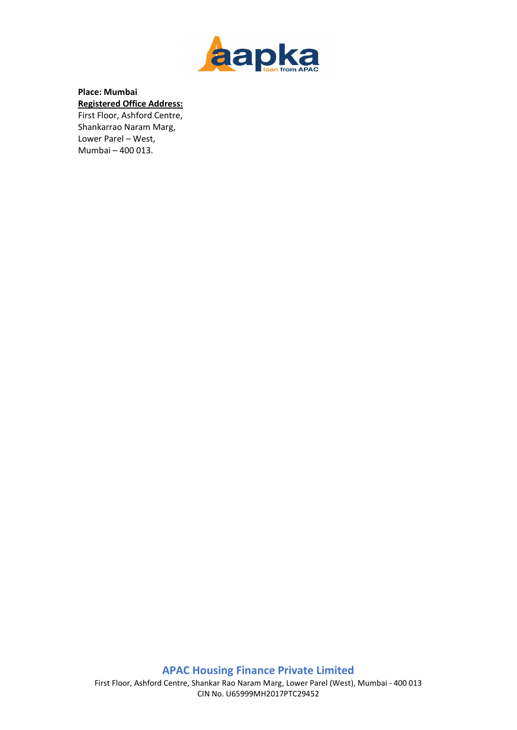

# **Place: Mumbai Registered Office Address:**  First Floor, Ashford Centre,

Shankarrao Naram Marg, Lower Parel – West, Mumbai – 400 013.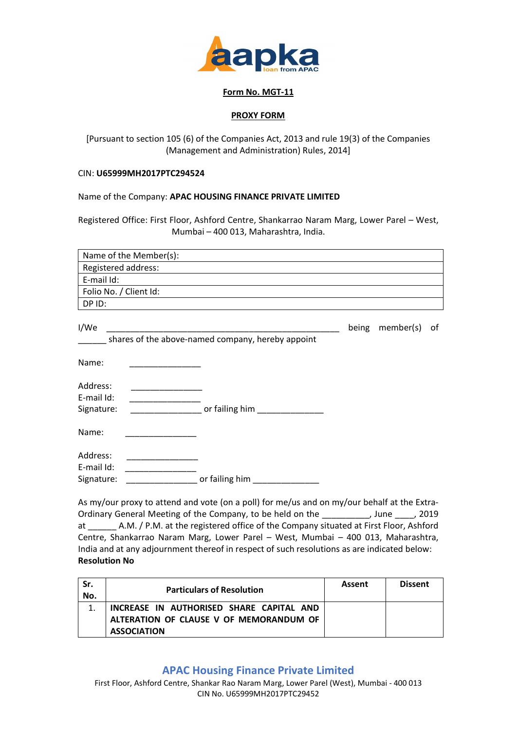

### **Form No. MGT-11**

### **PROXY FORM**

[Pursuant to section 105 (6) of the Companies Act, 2013 and rule 19(3) of the Companies (Management and Administration) Rules, 2014]

### CIN: **U65999MH2017PTC294524**

Name of the Company: **APAC HOUSING FINANCE PRIVATE LIMITED**

Registered Office: First Floor, Ashford Centre, Shankarrao Naram Marg, Lower Parel – West, Mumbai – 400 013, Maharashtra, India.

| Name of the Member(s):                                    |       |           |    |  |  |  |
|-----------------------------------------------------------|-------|-----------|----|--|--|--|
| Registered address:                                       |       |           |    |  |  |  |
| E-mail Id:                                                |       |           |    |  |  |  |
| Folio No. / Client Id:                                    |       |           |    |  |  |  |
| DP ID:                                                    |       |           |    |  |  |  |
| I/We<br>shares of the above-named company, hereby appoint | being | member(s) | οf |  |  |  |
| Name:                                                     |       |           |    |  |  |  |
| Address:<br>E-mail Id:<br>or failing him<br>Signature:    |       |           |    |  |  |  |
| Name:                                                     |       |           |    |  |  |  |
| Address:<br>E-mail Id:<br>or failing him<br>Signature:    |       |           |    |  |  |  |

As my/our proxy to attend and vote (on a poll) for me/us and on my/our behalf at the Extra-Ordinary General Meeting of the Company, to be held on the \_\_\_\_\_\_\_\_\_\_, June \_\_\_\_, 2019 at \_\_\_\_\_\_ A.M. / P.M. at the registered office of the Company situated at First Floor, Ashford Centre, Shankarrao Naram Marg, Lower Parel – West, Mumbai – 400 013, Maharashtra, India and at any adjournment thereof in respect of such resolutions as are indicated below: **Resolution No**

| Sr.<br>No. | <b>Particulars of Resolution</b>         | Assent | <b>Dissent</b> |
|------------|------------------------------------------|--------|----------------|
|            | INCREASE IN AUTHORISED SHARE CAPITAL AND |        |                |
|            | ALTERATION OF CLAUSE V OF MEMORANDUM OF  |        |                |
|            | <b>ASSOCIATION</b>                       |        |                |

# **APAC Housing Finance Private Limited**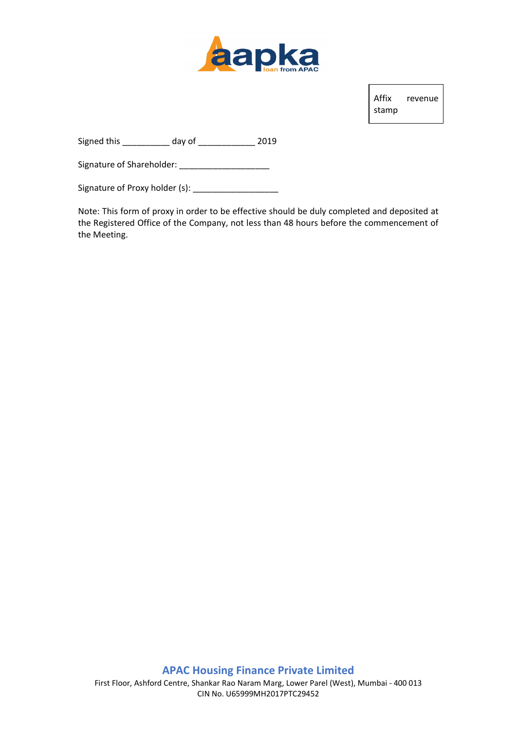

Affix revenue stamp

Signed this \_\_\_\_\_\_\_\_\_\_ day of \_\_\_\_\_\_\_\_\_\_\_\_ 2019

Signature of Shareholder: \_\_\_\_\_\_\_\_\_\_\_\_\_\_\_\_\_\_\_

Signature of Proxy holder (s): \_\_\_\_\_\_\_\_\_\_\_\_\_\_\_\_\_\_

Note: This form of proxy in order to be effective should be duly completed and deposited at the Registered Office of the Company, not less than 48 hours before the commencement of the Meeting.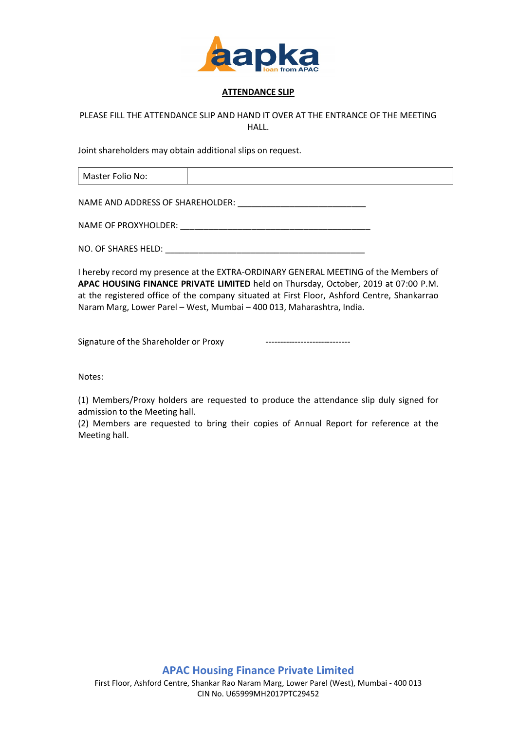

## **ATTENDANCE SLIP**

# PLEASE FILL THE ATTENDANCE SLIP AND HAND IT OVER AT THE ENTRANCE OF THE MEETING HALL.

Joint shareholders may obtain additional slips on request.

Master Folio No:

NAME AND ADDRESS OF SHAREHOLDER: \_\_\_\_\_\_\_\_\_\_\_\_\_\_\_\_\_\_\_\_\_\_\_\_\_\_\_

NAME OF PROXYHOLDER: \_\_\_\_\_\_\_\_\_\_\_\_\_\_\_\_\_\_\_\_\_\_\_\_\_\_\_\_\_\_\_\_\_\_\_\_\_\_\_\_

NO. OF SHARES HELD: **We have all that the set of the set of the set of the set of the set of the set of the set of the set of the set of the set of the set of the set of the set of the set of the set of the set of the set** 

I hereby record my presence at the EXTRA-ORDINARY GENERAL MEETING of the Members of **APAC HOUSING FINANCE PRIVATE LIMITED** held on Thursday, October, 2019 at 07:00 P.M. at the registered office of the company situated at First Floor, Ashford Centre, Shankarrao Naram Marg, Lower Parel – West, Mumbai – 400 013, Maharashtra, India.

Signature of the Shareholder or Proxy

Notes:

(1) Members/Proxy holders are requested to produce the attendance slip duly signed for admission to the Meeting hall.

(2) Members are requested to bring their copies of Annual Report for reference at the Meeting hall.